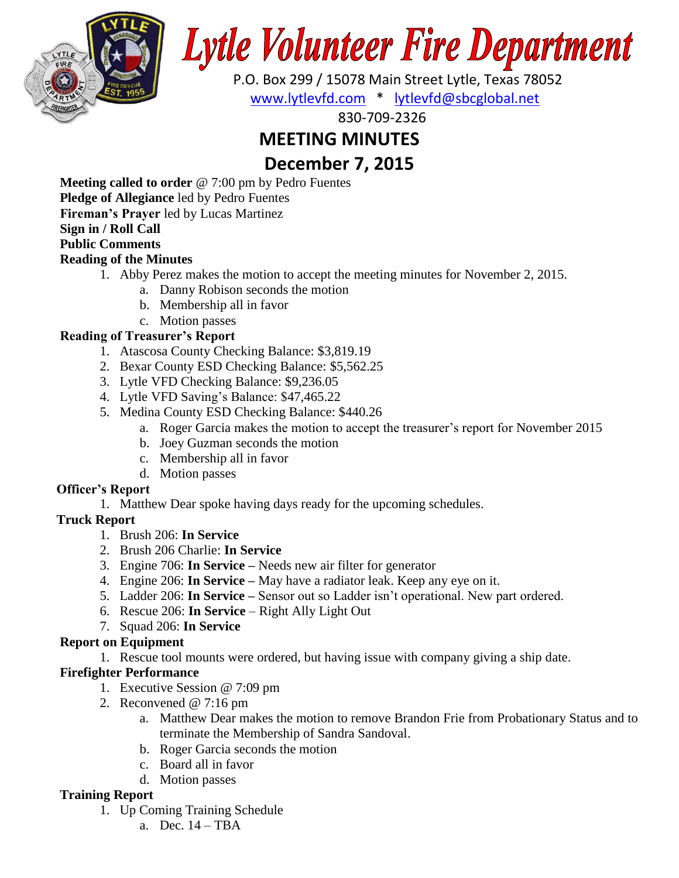

# **Lytle Volunteer Fire Department**

 P.O. Box 299 / 15078 Main Street Lytle, Texas 78052 [www.lytlevfd.com](http://www.lytlevfd.com/) \* [lytlevfd@sbcglobal.net](mailto:lytlevfd@sbcglobal.net)

830-709-2326

# **MEETING MINUTES**

# **December 7, 2015**

**Meeting called to order** @ 7:00 pm by Pedro Fuentes **Pledge of Allegiance** led by Pedro Fuentes

**Fireman's Prayer** led by Lucas Martinez

## **Sign in / Roll Call**

## **Public Comments**

#### **Reading of the Minutes**

- 1. Abby Perez makes the motion to accept the meeting minutes for November 2, 2015.
	- a. Danny Robison seconds the motion
	- b. Membership all in favor
	- c. Motion passes

## **Reading of Treasurer's Report**

- 1. Atascosa County Checking Balance: \$3,819.19
- 2. Bexar County ESD Checking Balance: \$5,562.25
- 3. Lytle VFD Checking Balance: \$9,236.05
- 4. Lytle VFD Saving's Balance: \$47,465.22
- 5. Medina County ESD Checking Balance: \$440.26
	- a. Roger Garcia makes the motion to accept the treasurer's report for November 2015
	- b. Joey Guzman seconds the motion
	- c. Membership all in favor
	- d. Motion passes

## **Officer's Report**

1. Matthew Dear spoke having days ready for the upcoming schedules.

## **Truck Report**

- 1. Brush 206: **In Service**
- 2. Brush 206 Charlie: **In Service**
- 3. Engine 706: **In Service –** Needs new air filter for generator
- 4. Engine 206: **In Service –** May have a radiator leak. Keep any eye on it.
- 5. Ladder 206: **In Service –** Sensor out so Ladder isn't operational. New part ordered.
- 6. Rescue 206: **In Service** Right Ally Light Out
- 7. Squad 206: **In Service**

## **Report on Equipment**

1. Rescue tool mounts were ordered, but having issue with company giving a ship date.

## **Firefighter Performance**

- 1. Executive Session @ 7:09 pm
- 2. Reconvened @ 7:16 pm
	- a. Matthew Dear makes the motion to remove Brandon Frie from Probationary Status and to terminate the Membership of Sandra Sandoval.
	- b. Roger Garcia seconds the motion
	- c. Board all in favor
	- d. Motion passes

## **Training Report**

- 1. Up Coming Training Schedule
	- a. Dec. 14 TBA